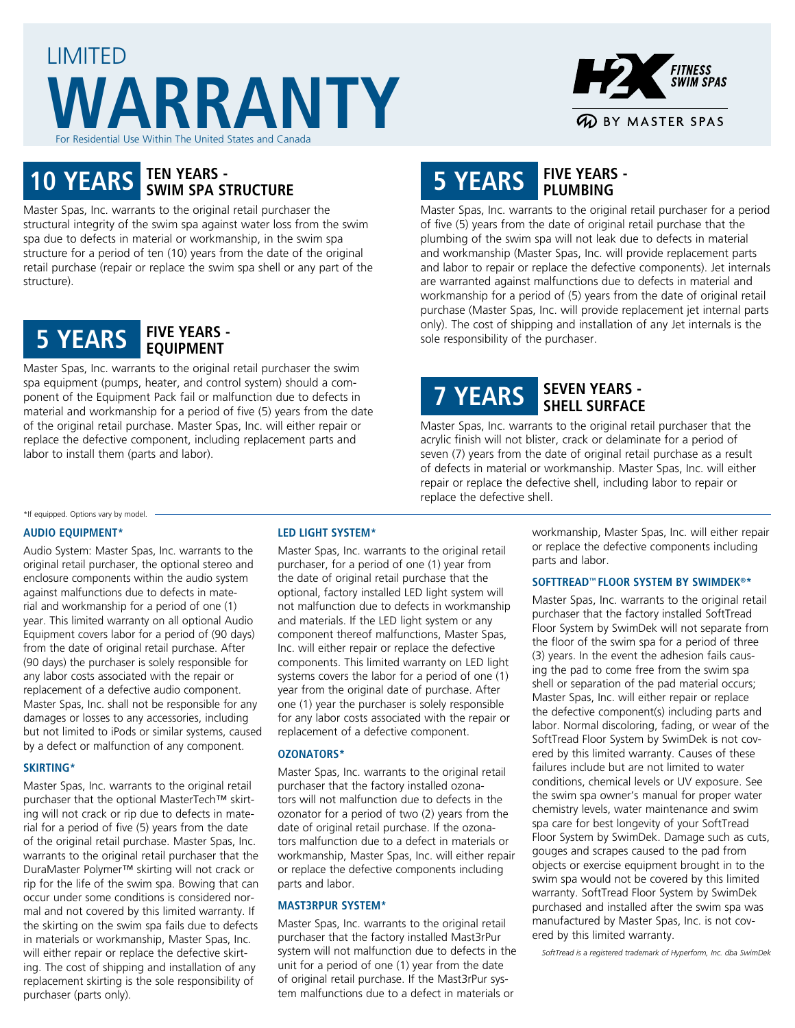# LIMITED **WARRANTY** For Residential Use Within The United States and Canada



# **10 YEARS TEN YEARS - SWIM SPA STRUCTURE**

Master Spas, Inc. warrants to the original retail purchaser the structural integrity of the swim spa against water loss from the swim spa due to defects in material or workmanship, in the swim spa structure for a period of ten (10) years from the date of the original retail purchase (repair or replace the swim spa shell or any part of the structure).



Master Spas, Inc. warrants to the original retail purchaser the swim spa equipment (pumps, heater, and control system) should a component of the Equipment Pack fail or malfunction due to defects in material and workmanship for a period of five (5) years from the date of the original retail purchase. Master Spas, Inc. will either repair or replace the defective component, including replacement parts and labor to install them (parts and labor).

# **5 YEARS FIVE YEARS - PLUMBING**

Master Spas, Inc. warrants to the original retail purchaser for a period of five (5) years from the date of original retail purchase that the plumbing of the swim spa will not leak due to defects in material and workmanship (Master Spas, Inc. will provide replacement parts and labor to repair or replace the defective components). Jet internals are warranted against malfunctions due to defects in material and workmanship for a period of (5) years from the date of original retail purchase (Master Spas, Inc. will provide replacement jet internal parts only). The cost of shipping and installation of any Jet internals is the sole responsibility of the purchaser.

# **7 YEARS SEVEN YEARS - SHELL SURFACE**

Master Spas, Inc. warrants to the original retail purchaser that the acrylic finish will not blister, crack or delaminate for a period of seven (7) years from the date of original retail purchase as a result of defects in material or workmanship. Master Spas, Inc. will either repair or replace the defective shell, including labor to repair or replace the defective shell.

## \*If equipped. Options vary by model.

#### **AUDIO EQUIPMENT\***

Audio System: Master Spas, Inc. warrants to the original retail purchaser, the optional stereo and enclosure components within the audio system against malfunctions due to defects in material and workmanship for a period of one (1) year. This limited warranty on all optional Audio Equipment covers labor for a period of (90 days) from the date of original retail purchase. After (90 days) the purchaser is solely responsible for any labor costs associated with the repair or replacement of a defective audio component. Master Spas, Inc. shall not be responsible for any damages or losses to any accessories, including but not limited to iPods or similar systems, caused by a defect or malfunction of any component.

#### **SKIRTING\***

Master Spas, Inc. warrants to the original retail purchaser that the optional MasterTech™ skirting will not crack or rip due to defects in material for a period of five (5) years from the date of the original retail purchase. Master Spas, Inc. warrants to the original retail purchaser that the DuraMaster Polymer™ skirting will not crack or rip for the life of the swim spa. Bowing that can occur under some conditions is considered normal and not covered by this limited warranty. If the skirting on the swim spa fails due to defects in materials or workmanship, Master Spas, Inc. will either repair or replace the defective skirting. The cost of shipping and installation of any replacement skirting is the sole responsibility of purchaser (parts only).

### **LED LIGHT SYSTEM\***

Master Spas, Inc. warrants to the original retail purchaser, for a period of one (1) year from the date of original retail purchase that the optional, factory installed LED light system will not malfunction due to defects in workmanship and materials. If the LED light system or any component thereof malfunctions, Master Spas, Inc. will either repair or replace the defective components. This limited warranty on LED light systems covers the labor for a period of one (1) year from the original date of purchase. After one (1) year the purchaser is solely responsible for any labor costs associated with the repair or replacement of a defective component.

#### **OZONATORS\***

Master Spas, Inc. warrants to the original retail purchaser that the factory installed ozonators will not malfunction due to defects in the ozonator for a period of two (2) years from the date of original retail purchase. If the ozonators malfunction due to a defect in materials or workmanship, Master Spas, Inc. will either repair or replace the defective components including parts and labor.

#### **MAST3RPUR SYSTEM\***

Master Spas, Inc. warrants to the original retail purchaser that the factory installed Mast3rPur system will not malfunction due to defects in the unit for a period of one (1) year from the date of original retail purchase. If the Mast3rPur system malfunctions due to a defect in materials or

workmanship, Master Spas, Inc. will either repair or replace the defective components including parts and labor.

#### **SOFTTREAD™ FLOOR SYSTEM BY SWIMDEK®\***

Master Spas, Inc. warrants to the original retail purchaser that the factory installed SoftTread Floor System by SwimDek will not separate from the floor of the swim spa for a period of three (3) years. In the event the adhesion fails causing the pad to come free from the swim spa shell or separation of the pad material occurs; Master Spas, Inc. will either repair or replace the defective component(s) including parts and labor. Normal discoloring, fading, or wear of the SoftTread Floor System by SwimDek is not covered by this limited warranty. Causes of these failures include but are not limited to water conditions, chemical levels or UV exposure. See the swim spa owner's manual for proper water chemistry levels, water maintenance and swim spa care for best longevity of your SoftTread Floor System by SwimDek. Damage such as cuts, gouges and scrapes caused to the pad from objects or exercise equipment brought in to the swim spa would not be covered by this limited warranty. SoftTread Floor System by SwimDek purchased and installed after the swim spa was manufactured by Master Spas, Inc. is not covered by this limited warranty.

*SoftTread is a registered trademark of Hyperform, Inc. dba SwimDek*